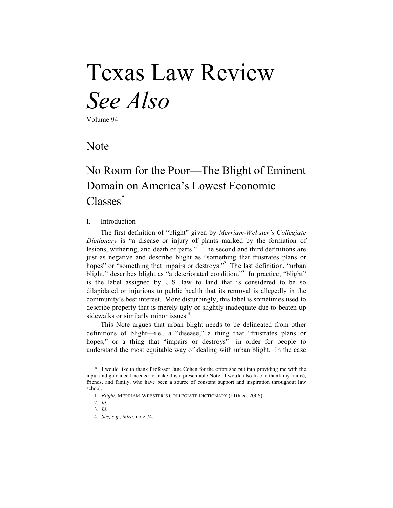# Texas Law Review *See Also*

Volume 94

### Note

## No Room for the Poor—The Blight of Eminent Domain on America's Lowest Economic Classes<sup>\*</sup>

#### I. Introduction

The first definition of "blight" given by *Merriam-Webster's Collegiate Dictionary* is "a disease or injury of plants marked by the formation of lesions, withering, and death of parts."1 The second and third definitions are just as negative and describe blight as "something that frustrates plans or hopes" or "something that impairs or destroys."<sup>2</sup> The last definition, "urban blight," describes blight as "a deteriorated condition."<sup>3</sup> In practice, "blight" is the label assigned by U.S. law to land that is considered to be so dilapidated or injurious to public health that its removal is allegedly in the community's best interest. More disturbingly, this label is sometimes used to describe property that is merely ugly or slightly inadequate due to beaten up sidewalks or similarly minor issues.<sup>4</sup>

This Note argues that urban blight needs to be delineated from other definitions of blight—i.e., a "disease," a thing that "frustrates plans or hopes," or a thing that "impairs or destroys"—in order for people to understand the most equitable way of dealing with urban blight. In the case

<sup>\*</sup> I would like to thank Professor Jane Cohen for the effort she put into providing me with the input and guidance I needed to make this a presentable Note. I would also like to thank my fiancé, friends, and family, who have been a source of constant support and inspiration throughout law school.

<sup>1.</sup> *Blight*, MERRIAM-WEBSTER'S COLLEGIATE DICTIONARY (11th ed. 2006).

<sup>2.</sup> *Id.*

<sup>3.</sup> *Id.*

<sup>4.</sup> *See, e.g.*, *infra*, note 74.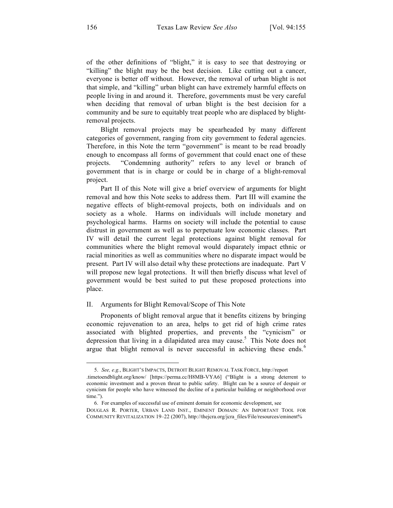of the other definitions of "blight," it is easy to see that destroying or "killing" the blight may be the best decision. Like cutting out a cancer, everyone is better off without. However, the removal of urban blight is not that simple, and "killing" urban blight can have extremely harmful effects on people living in and around it. Therefore, governments must be very careful when deciding that removal of urban blight is the best decision for a community and be sure to equitably treat people who are displaced by blightremoval projects.

Blight removal projects may be spearheaded by many different categories of government, ranging from city government to federal agencies. Therefore, in this Note the term "government" is meant to be read broadly enough to encompass all forms of government that could enact one of these projects. "Condemning authority" refers to any level or branch of government that is in charge or could be in charge of a blight-removal project.

Part II of this Note will give a brief overview of arguments for blight removal and how this Note seeks to address them. Part III will examine the negative effects of blight-removal projects, both on individuals and on society as a whole. Harms on individuals will include monetary and psychological harms. Harms on society will include the potential to cause distrust in government as well as to perpetuate low economic classes. Part IV will detail the current legal protections against blight removal for communities where the blight removal would disparately impact ethnic or racial minorities as well as communities where no disparate impact would be present. Part IV will also detail why these protections are inadequate. Part V will propose new legal protections. It will then briefly discuss what level of government would be best suited to put these proposed protections into place.

#### II. Arguments for Blight Removal/Scope of This Note

Proponents of blight removal argue that it benefits citizens by bringing economic rejuvenation to an area, helps to get rid of high crime rates associated with blighted properties, and prevents the "cynicism" or depression that living in a dilapidated area may cause.<sup>5</sup> This Note does not argue that blight removal is never successful in achieving these ends. $<sup>6</sup>$ </sup>

-

<sup>5.</sup> *See, e.g.*, BLIGHT'S IMPACTS, DETROIT BLIGHT REMOVAL TASK FORCE, http://report .timetoendblight.org/know/ [https://perma.cc/H8MB-VYA6] ("Blight is a strong deterrent to economic investment and a proven threat to public safety. Blight can be a source of despair or cynicism for people who have witnessed the decline of a particular building or neighborhood over time.").

<sup>6.</sup> For examples of successful use of eminent domain for economic development, see DOUGLAS R. PORTER, URBAN LAND INST., EMINENT DOMAIN: AN IMPORTANT TOOL FOR COMMUNITY REVITALIZATION 19–22 (2007), http://thejcra.org/jcra\_files/File/resources/eminent%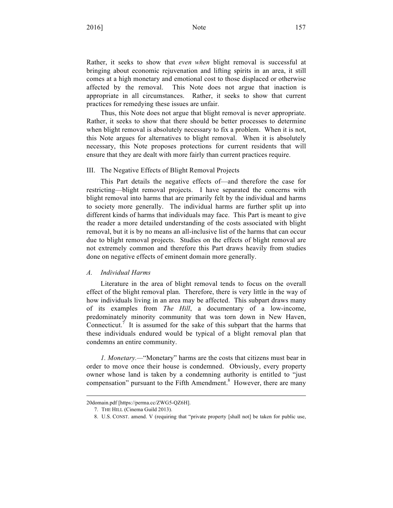Rather, it seeks to show that *even when* blight removal is successful at bringing about economic rejuvenation and lifting spirits in an area, it still comes at a high monetary and emotional cost to those displaced or otherwise affected by the removal. This Note does not argue that inaction is appropriate in all circumstances. Rather, it seeks to show that current practices for remedying these issues are unfair.

Thus, this Note does not argue that blight removal is never appropriate. Rather, it seeks to show that there should be better processes to determine when blight removal is absolutely necessary to fix a problem. When it is not, this Note argues for alternatives to blight removal. When it is absolutely necessary, this Note proposes protections for current residents that will ensure that they are dealt with more fairly than current practices require.

#### III. The Negative Effects of Blight Removal Projects

This Part details the negative effects of—and therefore the case for restricting—blight removal projects. I have separated the concerns with blight removal into harms that are primarily felt by the individual and harms to society more generally. The individual harms are further split up into different kinds of harms that individuals may face. This Part is meant to give the reader a more detailed understanding of the costs associated with blight removal, but it is by no means an all-inclusive list of the harms that can occur due to blight removal projects. Studies on the effects of blight removal are not extremely common and therefore this Part draws heavily from studies done on negative effects of eminent domain more generally.

#### *A. Individual Harms*

Literature in the area of blight removal tends to focus on the overall effect of the blight removal plan. Therefore, there is very little in the way of how individuals living in an area may be affected. This subpart draws many of its examples from *The Hill*, a documentary of a low-income, predominately minority community that was torn down in New Haven, Connecticut.<sup>7</sup> It is assumed for the sake of this subpart that the harms that these individuals endured would be typical of a blight removal plan that condemns an entire community.

*1. Monetary.—*"Monetary" harms are the costs that citizens must bear in order to move once their house is condemned. Obviously, every property owner whose land is taken by a condemning authority is entitled to "just compensation" pursuant to the Fifth Amendment.<sup>8</sup> However, there are many

<sup>20</sup>domain.pdf [https://perma.cc/ZWG5-QZ6H].

<sup>7.</sup> THE HILL (Cinema Guild 2013).

<sup>8.</sup> U.S. CONST. amend. V (requiring that "private property [shall not] be taken for public use,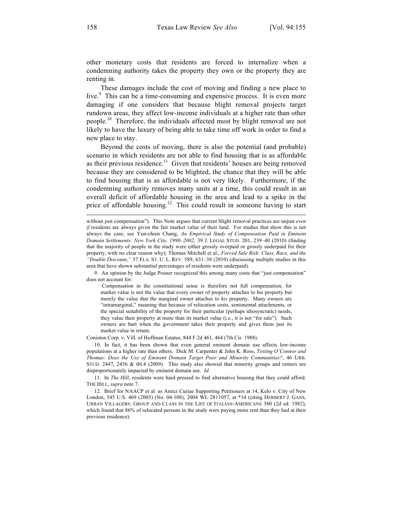other monetary costs that residents are forced to internalize when a condemning authority takes the property they own or the property they are renting in.

These damages include the cost of moving and finding a new place to live.<sup>9</sup> This can be a time-consuming and expensive process. It is even more damaging if one considers that because blight removal projects target rundown areas, they affect low-income individuals at a higher rate than other people.<sup>10</sup> Therefore, the individuals affected most by blight removal are not likely to have the luxury of being able to take time off work in order to find a new place to stay.

Beyond the costs of moving, there is also the potential (and probable) scenario in which residents are not able to find housing that is as affordable as their previous residence.<sup>11</sup> Given that residents' houses are being removed because they are considered to be blighted, the chance that they will be able to find housing that is as affordable is not very likely. Furthermore, if the condemning authority removes many units at a time, this could result in an overall deficit of affordable housing in the area and lead to a spike in the price of affordable housing.<sup>12</sup> This could result in someone having to start

9. An opinion by the Judge Posner recognized this among many costs that "just compensation" does not account for:

Compensation in the constitutional sense is therefore not full compensation, for market value is not the value that every owner of property attaches to his property but merely the value that the marginal owner attaches to *his* property. Many owners are "intramarginal," meaning that because of relocation costs, sentimental attachments, or the special suitability of the property for their particular (perhaps idiosyncratic) needs, they value their property at more than its market value (i.e., it is not "for sale"). Such owners are hurt when the government takes their property and gives them just its market value in return.

Coniston Corp. v. Vill. of Hoffman Estates, 844 F.2d 461, 464 (7th Cir. 1988).

10. In fact, it has been shown that even general eminent domain use affects low-income populations at a higher rate than others. Dick M. Carpenter & John K. Ross, *Testing O'Connor and Thomas: Does the Use of Eminent Domain Target Poor and Minority Communities?*, 46 URB. STUD.  $2447$ ,  $2456 \& th.4$  (2009). This study also showed that minority groups and renters are disproportionately impacted by eminent domain use. *Id.* 

11. In *The Hill*, residents were hard pressed to find alternative housing that they could afford. THE HILL, *supra* note 7.

12. Brief for NAACP et al. as Amici Curiae Supporting Petitioners at 14, Kelo v. City of New London, 545 U.S. 469 (2005) (No. 04-108), 2004 WL 2811057, at \*14 (citing HERBERT J. GANS, URBAN VILLAGERS: GROUP AND CLASS IN THE LIFE OF ITALIAN-AMERICANS 380 (2d ed. 1982), which found that 86% of relocated persons in the study were paying more rent than they had at their previous residence).

without just compensation"). This Note argues that current blight removal practices are unjust *even if* residents are always given the fair market value of their land. For studies that show this is not always the case, see Yun-chien Chang, *An Empirical Study of Compensation Paid in Eminent Domain Settlements: New York City, 1990–2002*, 39 J. LEGAL STUD. 201, 239–40 (2010) (finding that the majority of people in the study were either grossly overpaid or grossly underpaid for their property, with no clear reason why); Thomas Mitchell et al., *Forced Sale Risk: Class, Race, and the "Double Discount*,*"* 37 FLA. ST. U. L. REV. 589, 631–38 (2010) (discussing multiple studies in this area that have shown substantial percentages of residents were underpaid).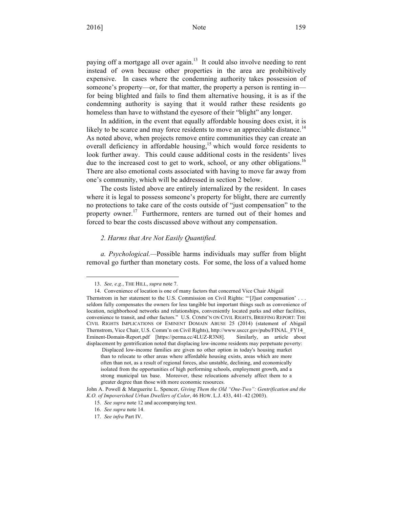paying off a mortgage all over again.<sup>13</sup> It could also involve needing to rent instead of own because other properties in the area are prohibitively expensive. In cases where the condemning authority takes possession of someone's property—or, for that matter, the property a person is renting in for being blighted and fails to find them alternative housing, it is as if the condemning authority is saying that it would rather these residents go homeless than have to withstand the eyesore of their "blight" any longer.

In addition, in the event that equally affordable housing does exist, it is likely to be scarce and may force residents to move an appreciable distance.<sup>14</sup> As noted above, when projects remove entire communities they can create an overall deficiency in affordable housing, $15$  which would force residents to look further away. This could cause additional costs in the residents' lives due to the increased cost to get to work, school, or any other obligations.<sup>16</sup> There are also emotional costs associated with having to move far away from one's community, which will be addressed in section 2 below.

The costs listed above are entirely internalized by the resident. In cases where it is legal to possess someone's property for blight, there are currently no protections to take care of the costs outside of "just compensation" to the property owner.<sup>17</sup> Furthermore, renters are turned out of their homes and forced to bear the costs discussed above without any compensation.

#### *2. Harms that Are Not Easily Quantified.*

*a. Psychological.—*Possible harms individuals may suffer from blight removal go further than monetary costs. For some, the loss of a valued home

<sup>13.</sup> *See, e.g.*, THE HILL, *supra* note 7.

<sup>14.</sup> Convenience of location is one of many factors that concerned Vice Chair Abigail

Thernstrom in her statement to the U.S. Commission on Civil Rights: "'[J]ust compensation' . . . seldom fully compensates the owners for less tangible but important things such as convenience of location, neighborhood networks and relationships, conveniently located parks and other facilities, convenience to transit, and other factors." U.S. COMM'N ON CIVIL RIGHTS, BRIEFING REPORT: THE CIVIL RIGHTS IMPLICATIONS OF EMINENT DOMAIN ABUSE 25 (2014) (statement of Abigail Thernstrom, Vice Chair, U.S. Comm'n on Civil Rights), http://www.usccr.gov/pubs/FINAL\_FY14\_ Eminent-Domain-Report.pdf [https://perma.cc/4LUZ-R3N8]. Similarly, an article about displacement by gentrification noted that displacing low-income residents may perpetuate poverty:

Displaced low-income families are given no other option in today's housing market than to relocate to other areas where affordable housing exists, areas which are more often than not, as a result of regional forces, also unstable, declining, and economically isolated from the opportunities of high performing schools, employment growth, and a strong municipal tax base. Moreover, these relocations adversely affect them to a greater degree than those with more economic resources.

John A. Powell & Marguerite L. Spencer, *Giving Them the Old "One-Two": Gentrification and the K.O. of Impoverished Urban Dwellers of Color*, 46 HOW. L.J. 433, 441–42 (2003).

<sup>15.</sup> *See supra* note 12 and accompanying text.

<sup>16.</sup> *See supra* note 14.

<sup>17.</sup> *See infra* Part IV.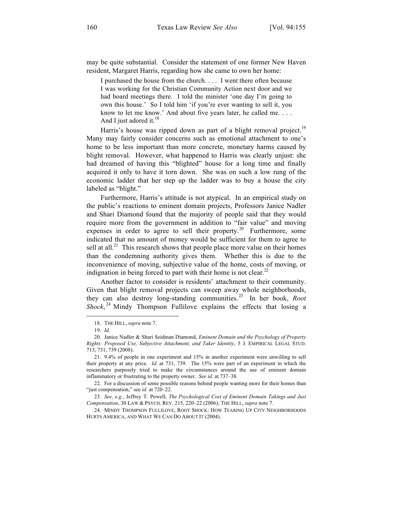may be quite substantial. Consider the statement of one former New Haven resident, Margaret Harris, regarding how she came to own her home:

I purchased the house from the church. . . . I went there often because I was working for the Christian Community Action next door and we had board meetings there. I told the minister 'one day I'm going to own this house.' So I told him 'if you're ever wanting to sell it, you know to let me know.' And about five years later, he called me. . . . And I just adored it. $18$ 

Harris's house was ripped down as part of a blight removal project.<sup>19</sup> Many may fairly consider concerns such as emotional attachment to one's home to be less important than more concrete, monetary harms caused by blight removal. However, what happened to Harris was clearly unjust: she had dreamed of having this "blighted" house for a long time and finally acquired it only to have it torn down. She was on such a low rung of the economic ladder that her step up the ladder was to buy a house the city labeled as "blight."

Furthermore, Harris's attitude is not atypical. In an empirical study on the public's reactions to eminent domain projects, Professors Janice Nadler and Shari Diamond found that the majority of people said that they would require more from the government in addition to "fair value" and moving expenses in order to agree to sell their property.<sup>20</sup> Furthermore, some indicated that no amount of money would be sufficient for them to agree to sell at all. $^{21}$  This research shows that people place more value on their homes than the condemning authority gives them. Whether this is due to the inconvenience of moving, subjective value of the home, costs of moving, or indignation in being forced to part with their home is not clear.<sup>22</sup>

Another factor to consider is residents' attachment to their community. Given that blight removal projects can sweep away whole neighborhoods, they can also destroy long-standing communities.<sup>23</sup> In her book, *Root Shock*, <sup>24</sup> Mindy Thompson Fullilove explains the effects that losing a

<sup>18.</sup> THE HILL, *supra* note 7.

<sup>19.</sup> *Id.*

<sup>20.</sup> Janice Nadler & Shari Seidman Diamond, *Eminent Domain and the Psychology of Property Rights: Proposed Use, Subjective Attachment, and Taker Identity*, 5 J. EMPIRICAL LEGAL STUD. 713, 731, 739 (2008).

<sup>21.</sup> 9.4% of people in one experiment and 15% in another experiment were unwilling to sell their property at any price. *Id.* at 731, 739. The 15% were part of an experiment in which the researchers purposely tried to make the circumstances around the use of eminent domain inflammatory or frustrating to the property owner. *See id.* at 737–38.

<sup>22.</sup> For a discussion of some possible reasons behind people wanting more for their homes than "just compensation," see *id.* at 720–22.

<sup>23.</sup> *See, e.g.*, Jeffrey T. Powell, *The Psychological Cost of Eminent Domain Takings and Just Compensation*, 30 LAW & PSYCH. REV. 215, 220–22 (2006); THE HILL, *supra* note 7.

<sup>24.</sup> MINDY THOMPSON FULLILOVE, ROOT SHOCK: HOW TEARING UP CITY NEIGHBORHOODS HURTS AMERICA, AND WHAT WE CAN DO ABOUT IT (2004).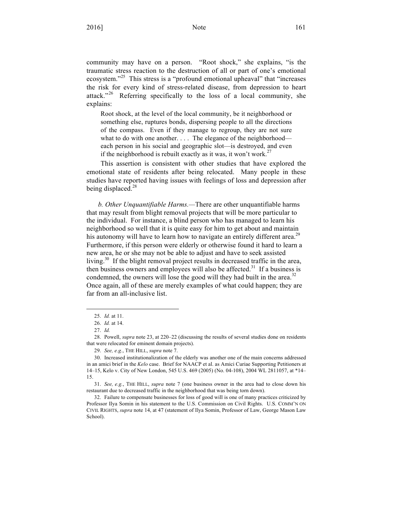community may have on a person. "Root shock," she explains, "is the traumatic stress reaction to the destruction of all or part of one's emotional ecosystem."<sup>25</sup> This stress is a "profound emotional upheaval" that "increases the risk for every kind of stress-related disease, from depression to heart attack."<sup>26</sup> Referring specifically to the loss of a local community, she explains:

Root shock, at the level of the local community, be it neighborhood or something else, ruptures bonds, dispersing people to all the directions of the compass. Even if they manage to regroup, they are not sure what to do with one another. . . . The elegance of the neighborhood each person in his social and geographic slot—is destroyed, and even if the neighborhood is rebuilt exactly as it was, it won't work.<sup>27</sup>

This assertion is consistent with other studies that have explored the emotional state of residents after being relocated. Many people in these studies have reported having issues with feelings of loss and depression after being displaced.<sup>28</sup>

*b. Other Unquantifiable Harms.—*There are other unquantifiable harms that may result from blight removal projects that will be more particular to the individual. For instance, a blind person who has managed to learn his neighborhood so well that it is quite easy for him to get about and maintain his autonomy will have to learn how to navigate an entirely different area.<sup>29</sup> Furthermore, if this person were elderly or otherwise found it hard to learn a new area, he or she may not be able to adjust and have to seek assisted living.<sup>30</sup> If the blight removal project results in decreased traffic in the area, then business owners and employees will also be affected.<sup>31</sup> If a business is condemned, the owners will lose the good will they had built in the area.<sup>32</sup> Once again, all of these are merely examples of what could happen; they are far from an all-inclusive list.

-

<sup>25.</sup> *Id.* at 11.

<sup>26.</sup> *Id.* at 14.

<sup>27.</sup> *Id.*

<sup>28.</sup> Powell, *supra* note 23, at 220–22 (discussing the results of several studies done on residents that were relocated for eminent domain projects).

<sup>29.</sup> *See, e.g.*, THE HILL, *supra* note 7.

<sup>30.</sup> Increased institutionalization of the elderly was another one of the main concerns addressed in an amici brief in the *Kelo* case. Brief for NAACP et al. as Amici Curiae Supporting Petitioners at 14–15, Kelo v. City of New London, 545 U.S. 469 (2005) (No. 04-108), 2004 WL 2811057, at \*14– 15.

<sup>31.</sup> *See, e.g.*, THE HILL, *supra* note 7 (one business owner in the area had to close down his restaurant due to decreased traffic in the neighborhood that was being torn down).

<sup>32.</sup> Failure to compensate businesses for loss of good will is one of many practices criticized by Professor Ilya Somin in his statement to the U.S. Commission on Civil Rights. U.S. COMM'N ON CIVIL RIGHTS, *supra* note 14, at 47 (statement of Ilya Somin, Professor of Law, George Mason Law School).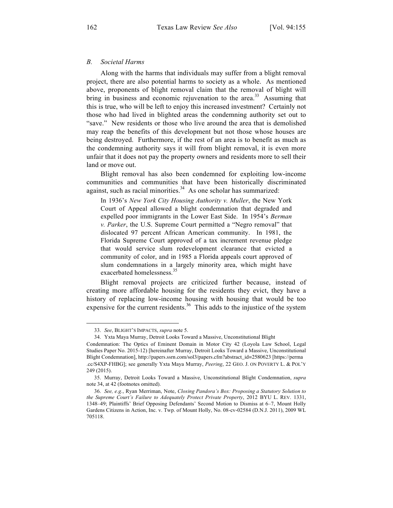#### *B. Societal Harms*

Along with the harms that individuals may suffer from a blight removal project, there are also potential harms to society as a whole. As mentioned above, proponents of blight removal claim that the removal of blight will bring in business and economic rejuvenation to the area.<sup>33</sup> Assuming that this is true, who will be left to enjoy this increased investment? Certainly not those who had lived in blighted areas the condemning authority set out to "save." New residents or those who live around the area that is demolished may reap the benefits of this development but not those whose houses are being destroyed. Furthermore, if the rest of an area is to benefit as much as the condemning authority says it will from blight removal, it is even more unfair that it does not pay the property owners and residents more to sell their land or move out.

Blight removal has also been condemned for exploiting low-income communities and communities that have been historically discriminated against, such as racial minorities. $34$  As one scholar has summarized:

In 1936's *New York City Housing Authority v. Muller*, the New York Court of Appeal allowed a blight condemnation that degraded and expelled poor immigrants in the Lower East Side. In 1954's *Berman v. Parker*, the U.S. Supreme Court permitted a "Negro removal" that dislocated 97 percent African American community. In 1981, the Florida Supreme Court approved of a tax increment revenue pledge that would service slum redevelopment clearance that evicted a community of color, and in 1985 a Florida appeals court approved of slum condemnations in a largely minority area, which might have exacerbated homelessness.<sup>35</sup>

Blight removal projects are criticized further because, instead of creating more affordable housing for the residents they evict, they have a history of replacing low-income housing with housing that would be too expensive for the current residents.<sup>36</sup> This adds to the injustice of the system

<sup>33.</sup> *See*, BLIGHT'S IMPACTS, *supra* note 5.

<sup>34.</sup> Yxta Maya Murray, Detroit Looks Toward a Massive, Unconstitutional Blight

Condemnation: The Optics of Eminent Domain in Motor City 42 (Loyola Law School, Legal Studies Paper No. 2015-12) [hereinafter Murray, Detroit Looks Toward a Massive, Unconstitutional Blight Condemnation], http://papers.ssrn.com/sol3/papers.cfm?abstract\_id=2580623 [https://perma .cc/S4XP-FHBG]; see generally Yxta Maya Murray, *Peering*, 22 GEO. J. ON POVERTY L. & POL'Y 249 (2015).

<sup>35.</sup> Murray, Detroit Looks Toward a Massive, Unconstitutional Blight Condemnation, *supra*  note 34, at 42 (footnotes omitted).

<sup>36.</sup> *See, e.g.*, Ryan Merriman, Note, *Closing Pandora's Box: Proposing a Statutory Solution to the Supreme Court's Failure to Adequately Protect Private Property*, 2012 BYU L. REV. 1331, 1348–49; Plaintiffs' Brief Opposing Defendants' Second Motion to Dismiss at 6–7, Mount Holly Gardens Citizens in Action, Inc. v. Twp. of Mount Holly, No. 08-cv-02584 (D.N.J. 2011), 2009 WL 705118.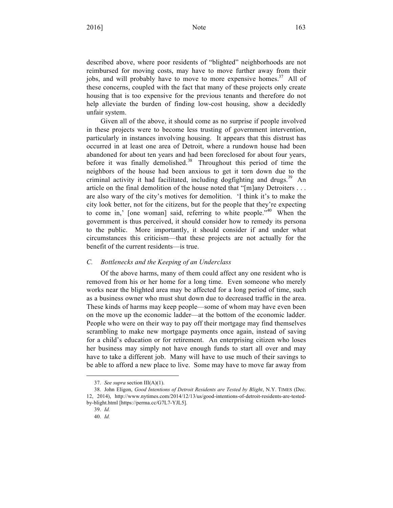described above, where poor residents of "blighted" neighborhoods are not reimbursed for moving costs, may have to move further away from their jobs, and will probably have to move to more expensive homes.<sup>37</sup> All of these concerns, coupled with the fact that many of these projects only create housing that is too expensive for the previous tenants and therefore do not help alleviate the burden of finding low-cost housing, show a decidedly unfair system.

Given all of the above, it should come as no surprise if people involved in these projects were to become less trusting of government intervention, particularly in instances involving housing. It appears that this distrust has occurred in at least one area of Detroit, where a rundown house had been abandoned for about ten years and had been foreclosed for about four years, before it was finally demolished. $38$  Throughout this period of time the neighbors of the house had been anxious to get it torn down due to the criminal activity it had facilitated, including dogfighting and drugs. $39$  An article on the final demolition of the house noted that "[m]any Detroiters . . . are also wary of the city's motives for demolition. 'I think it's to make the city look better, not for the citizens, but for the people that they're expecting to come in,' [one woman] said, referring to white people.<sup>"40</sup> When the government is thus perceived, it should consider how to remedy its persona to the public. More importantly, it should consider if and under what circumstances this criticism—that these projects are not actually for the benefit of the current residents—is true.

#### *C. Bottlenecks and the Keeping of an Underclass*

Of the above harms, many of them could affect any one resident who is removed from his or her home for a long time. Even someone who merely works near the blighted area may be affected for a long period of time, such as a business owner who must shut down due to decreased traffic in the area. These kinds of harms may keep people—some of whom may have even been on the move up the economic ladder—at the bottom of the economic ladder. People who were on their way to pay off their mortgage may find themselves scrambling to make new mortgage payments once again, instead of saving for a child's education or for retirement. An enterprising citizen who loses her business may simply not have enough funds to start all over and may have to take a different job. Many will have to use much of their savings to be able to afford a new place to live. Some may have to move far away from

<sup>37.</sup> *See supra* section III(A)(1).

<sup>38.</sup> John Eligon, *Good Intentions of Detroit Residents are Tested by Blight*, N.Y. TIMES (Dec. 12, 2014), http://www.nytimes.com/2014/12/13/us/good-intentions-of-detroit-residents-are-testedby-blight.html [https://perma.cc/G7L7-YJL5].

<sup>39.</sup> *Id.*

<sup>40.</sup> *Id.*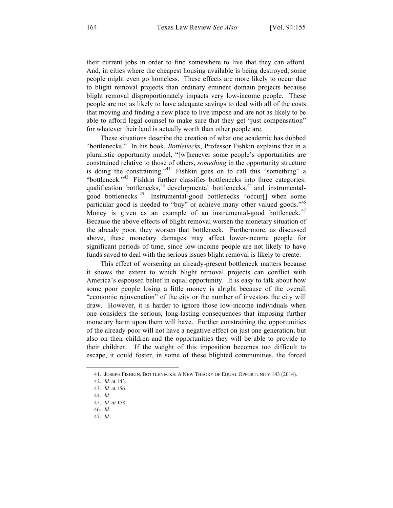their current jobs in order to find somewhere to live that they can afford. And, in cities where the cheapest housing available is being destroyed, some people might even go homeless. These effects are more likely to occur due to blight removal projects than ordinary eminent domain projects because blight removal disproportionately impacts very low-income people. These people are not as likely to have adequate savings to deal with all of the costs that moving and finding a new place to live impose and are not as likely to be able to afford legal counsel to make sure that they get "just compensation" for whatever their land is actually worth than other people are.

These situations describe the creation of what one academic has dubbed "bottlenecks." In his book, *Bottlenecks*, Professor Fishkin explains that in a pluralistic opportunity model, "[w]henever some people's opportunities are constrained relative to those of others, *something* in the opportunity structure is doing the constraining."<sup>41</sup> Fishkin goes on to call this "something" a "bottleneck."<sup>42</sup> Fishkin further classifies bottlenecks into three categories: qualification bottlenecks,  $43$  developmental bottlenecks,  $44$  and instrumentalgood bottlenecks.<sup>45</sup> Instrumental-good bottlenecks "occur[] when some particular good is needed to "buy" or achieve many other valued goods."<sup>46</sup> Money is given as an example of an instrumental-good bottleneck.<sup>47</sup> Because the above effects of blight removal worsen the monetary situation of the already poor, they worsen that bottleneck. Furthermore, as discussed above, these monetary damages may affect lower-income people for significant periods of time, since low-income people are not likely to have funds saved to deal with the serious issues blight removal is likely to create.

This effect of worsening an already-present bottleneck matters because it shows the extent to which blight removal projects can conflict with America's espoused belief in equal opportunity. It is easy to talk about how some poor people losing a little money is alright because of the overall "economic rejuvenation" of the city or the number of investors the city will draw. However, it is harder to ignore those low-income individuals when one considers the serious, long-lasting consequences that imposing further monetary harm upon them will have. Further constraining the opportunities of the already poor will not have a negative effect on just one generation, but also on their children and the opportunities they will be able to provide to their children. If the weight of this imposition becomes too difficult to escape, it could foster, in some of these blighted communities, the forced

<sup>41.</sup> JOSEPH FISHKIN, BOTTLENECKS: A NEW THEORY OF EQUAL OPPORTUNITY 143 (2014).

<sup>42.</sup> *Id.* at 143.

<sup>43.</sup> *Id.* at 156.

<sup>44.</sup> *Id.*

<sup>45.</sup> *Id. at* 158.

<sup>46.</sup> *Id.*

<sup>47.</sup> *Id.*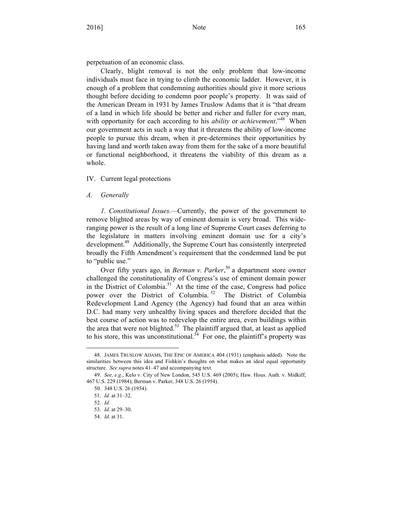perpetuation of an economic class.

Clearly, blight removal is not the only problem that low-income individuals must face in trying to climb the economic ladder. However, it is enough of a problem that condemning authorities should give it more serious thought before deciding to condemn poor people's property. It was said of the American Dream in 1931 by James Truslow Adams that it is "that dream of a land in which life should be better and richer and fuller for every man, with opportunity for each according to his *ability* or *achievement*.<sup>"48</sup> When our government acts in such a way that it threatens the ability of low-income people to pursue this dream, when it pre-determines their opportunities by having land and worth taken away from them for the sake of a more beautiful or functional neighborhood, it threatens the viability of this dream as a whole.

#### IV. Current legal protections

#### *A. Generally*

*1. Constitutional Issues.—*Currently, the power of the government to remove blighted areas by way of eminent domain is very broad. This wideranging power is the result of a long line of Supreme Court cases deferring to the legislature in matters involving eminent domain use for a city's development.49 Additionally, the Supreme Court has consistently interpreted broadly the Fifth Amendment's requirement that the condemned land be put to "public use."

Over fifty years ago, in *Berman v. Parker*, <sup>50</sup> a department store owner challenged the constitutionality of Congress's use of eminent domain power in the District of Colombia.<sup>51</sup> At the time of the case, Congress had police power over the District of Columbia.<sup>52</sup> The District of Columbia Redevelopment Land Agency (the Agency) had found that an area within D.C. had many very unhealthy living spaces and therefore decided that the best course of action was to redevelop the entire area, even buildings within the area that were not blighted. $53$  The plaintiff argued that, at least as applied to his store, this was unconstitutional. $54$  For one, the plaintiff's property was

<sup>48.</sup> JAMES TRUSLOW ADAMS, THE EPIC OF AMERICA 404 (1931) (emphasis added). Note the similarities between this idea and Fishkin's thoughts on what makes an ideal equal opportunity structure. *See supra* notes 41–47 and accompanying text.

<sup>49.</sup> *See, e.g.*, Kelo v. City of New London, 545 U.S. 469 (2005); Haw. Hous. Auth. v. Midkiff, 467 U.S. 229 (1984); Berman v. Parker, 348 U.S. 26 (1954).

<sup>50.</sup> 348 U.S. 26 (1954).

<sup>51.</sup> *Id.* at 31–32.

<sup>52.</sup> *Id.*

<sup>53.</sup> *Id.* at 29–30.

<sup>54.</sup> *Id.* at 31.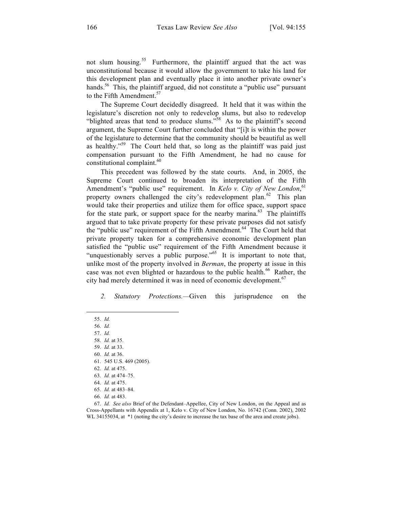not slum housing.<sup>55</sup> Furthermore, the plaintiff argued that the act was unconstitutional because it would allow the government to take his land for this development plan and eventually place it into another private owner's hands.<sup>56</sup> This, the plaintiff argued, did not constitute a "public use" pursuant to the Fifth Amendment.<sup>57</sup>

The Supreme Court decidedly disagreed. It held that it was within the legislature's discretion not only to redevelop slums, but also to redevelop "blighted areas that tend to produce slums."<sup>58</sup> As to the plaintiff's second argument, the Supreme Court further concluded that "[i]t is within the power of the legislature to determine that the community should be beautiful as well as healthy."<sup>59</sup> The Court held that, so long as the plaintiff was paid just compensation pursuant to the Fifth Amendment, he had no cause for constitutional complaint. $60$ 

This precedent was followed by the state courts. And, in 2005, the Supreme Court continued to broaden its interpretation of the Fifth Amendment's "public use" requirement. In *Kelo v. City of New London*,<sup>61</sup> property owners challenged the city's redevelopment plan.<sup>62</sup> This plan would take their properties and utilize them for office space, support space for the state park, or support space for the nearby marina.<sup>63</sup> The plaintiffs argued that to take private property for these private purposes did not satisfy the "public use" requirement of the Fifth Amendment.<sup>64</sup> The Court held that private property taken for a comprehensive economic development plan satisfied the "public use" requirement of the Fifth Amendment because it "unquestionably serves a public purpose."<sup>65</sup> It is important to note that, unlike most of the property involved in *Berman*, the property at issue in this case was not even blighted or hazardous to the public health.<sup>66</sup> Rather, the city had merely determined it was in need of economic development.<sup>67</sup>

*2. Statutory Protections.—*Given this jurisprudence on the

1

66. *Id.* at 483.

<sup>55.</sup> *Id.*

<sup>56.</sup> *Id.*

<sup>57.</sup> *Id.* 

<sup>58.</sup> *Id.* at 35.

<sup>59.</sup> *Id.* at 33.

<sup>60.</sup> *Id.* at 36.

<sup>61.</sup> 545 U.S. 469 (2005).

<sup>62.</sup> *Id.* at 475.

<sup>63.</sup> *Id.* at 474–75.

<sup>64.</sup> *Id.* at 475.

<sup>65.</sup> *Id.* at 483–84.

<sup>67.</sup> *Id. See also* Brief of the Defendant–Appellee, City of New London, on the Appeal and as Cross-Appellants with Appendix at 1, Kelo v. City of New London, No. 16742 (Conn. 2002), 2002 WL 34155034, at  $*1$  (noting the city's desire to increase the tax base of the area and create jobs).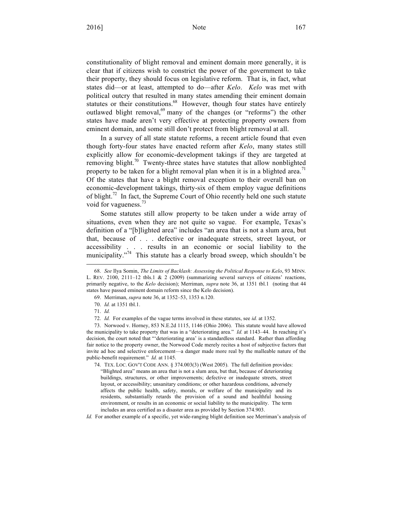constitutionality of blight removal and eminent domain more generally, it is clear that if citizens wish to constrict the power of the government to take their property, they should focus on legislative reform. That is, in fact, what states did—or at least, attempted to do—after *Kelo*. *Kelo* was met with political outcry that resulted in many states amending their eminent domain statutes or their constitutions.<sup>68</sup> However, though four states have entirely outlawed blight removal,<sup>69</sup> many of the changes (or "reforms") the other states have made aren't very effective at protecting property owners from eminent domain, and some still don't protect from blight removal at all.

In a survey of all state statute reforms, a recent article found that even though forty-four states have enacted reform after *Kelo*, many states still explicitly allow for economic-development takings if they are targeted at removing blight.<sup>70</sup> Twenty-three states have statutes that allow nonblighted property to be taken for a blight removal plan when it is in a blighted area.<sup>11</sup> Of the states that have a blight removal exception to their overall ban on economic-development takings, thirty-six of them employ vague definitions of blight.<sup>72</sup> In fact, the Supreme Court of Ohio recently held one such statute void for vagueness. $\frac{73}{3}$ 

Some statutes still allow property to be taken under a wide array of situations, even when they are not quite so vague. For example, Texas's definition of a "[b]lighted area" includes "an area that is not a slum area, but that, because of . . . defective or inadequate streets, street layout, or accessibility . . . results in an economic or social liability to the municipality. $1/74$  This statute has a clearly broad sweep, which shouldn't be

1

*Id.* For another example of a specific, yet wide-ranging blight definition see Merriman's analysis of

<sup>68.</sup> *See* Ilya Somin, *The Limits of Backlash: Assessing the Political Response to Kelo*, 93 MINN. L. REV. 2100, 2111–12 tbls.1 & 2 (2009) (summarizing several surveys of citizens' reactions, primarily negative, to the *Kelo* decision); Merriman, *supra* note 36, at 1351 tbl.1 (noting that 44 states have passed eminent domain reform since the Kelo decision).

<sup>69.</sup> Merriman, *supra* note 36, at 1352–53, 1353 n.120.

<sup>70.</sup> *Id.* at 1351 tbl.1.

<sup>71.</sup> *Id.*

<sup>72.</sup> *Id.* For examples of the vague terms involved in these statutes, see *id.* at 1352.

<sup>73.</sup> Norwood v. Horney, 853 N.E.2d 1115, 1146 (Ohio 2006). This statute would have allowed the municipality to take property that was in a "deteriorating area." *Id.* at 1143–44. In reaching it's decision, the court noted that "'deteriorating area' is a standardless standard. Rather than affording fair notice to the property owner, the Norwood Code merely recites a host of subjective factors that invite ad hoc and selective enforcement—a danger made more real by the malleable nature of the public-benefit requirement." *Id.* at 1145.

<sup>74.</sup> TEX. LOC. GOV'T CODE ANN. § 374.003(3) (West 2005). The full definition provides: "Blighted area" means an area that is not a slum area, but that, because of deteriorating buildings, structures, or other improvements; defective or inadequate streets, street layout, or accessibility; unsanitary conditions; or other hazardous conditions, adversely affects the public health, safety, morals, or welfare of the municipality and its residents, substantially retards the provision of a sound and healthful housing environment, or results in an economic or social liability to the municipality. The term includes an area certified as a disaster area as provided by Section 374.903.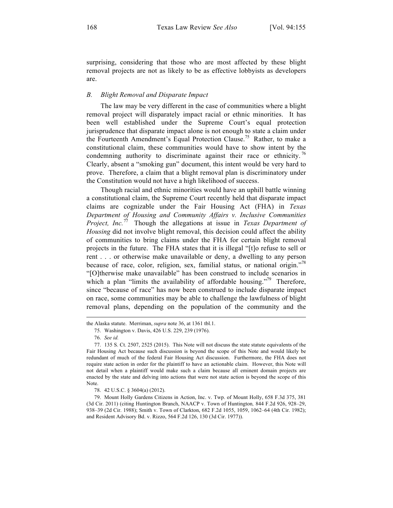surprising, considering that those who are most affected by these blight removal projects are not as likely to be as effective lobbyists as developers are.

#### *B. Blight Removal and Disparate Impact*

The law may be very different in the case of communities where a blight removal project will disparately impact racial or ethnic minorities. It has been well established under the Supreme Court's equal protection jurisprudence that disparate impact alone is not enough to state a claim under the Fourteenth Amendment's Equal Protection Clause.<sup>75</sup> Rather, to make a constitutional claim, these communities would have to show intent by the condemning authority to discriminate against their race or ethnicity.<sup>76</sup> Clearly, absent a "smoking gun" document, this intent would be very hard to prove. Therefore, a claim that a blight removal plan is discriminatory under the Constitution would not have a high likelihood of success.

Though racial and ethnic minorities would have an uphill battle winning a constitutional claim, the Supreme Court recently held that disparate impact claims are cognizable under the Fair Housing Act (FHA) in *Texas Department of Housing and Community Affairs v. Inclusive Communities Project, Inc.*<sup>77</sup> Though the allegations at issue in *Texas Department of Housing* did not involve blight removal, this decision could affect the ability of communities to bring claims under the FHA for certain blight removal projects in the future. The FHA states that it is illegal "[t]o refuse to sell or rent . . . or otherwise make unavailable or deny, a dwelling to any person because of race, color, religion, sex, familial status, or national origin."<sup>78</sup> "[O]therwise make unavailable" has been construed to include scenarios in which a plan "limits the availability of affordable housing."<sup>79</sup> Therefore, since "because of race" has now been construed to include disparate impact on race, some communities may be able to challenge the lawfulness of blight removal plans, depending on the population of the community and the

the Alaska statute. Merriman, *supra* note 36, at 1361 tbl.1.

<sup>75.</sup> Washington v. Davis, 426 U.S. 229, 239 (1976).

<sup>76.</sup> *See id.*

<sup>77.</sup> 135 S. Ct. 2507, 2525 (2015). This Note will not discuss the state statute equivalents of the Fair Housing Act because such discussion is beyond the scope of this Note and would likely be redundant of much of the federal Fair Housing Act discussion. Furthermore, the FHA does not require state action in order for the plaintiff to have an actionable claim. However, this Note will not detail when a plaintiff would make such a claim because all eminent domain projects are enacted by the state and delving into actions that were not state action is beyond the scope of this Note.

<sup>78.</sup> 42 U.S.C. § 3604(a) (2012).

<sup>79.</sup> Mount Holly Gardens Citizens in Action, Inc. v. Twp. of Mount Holly, 658 F.3d 375, 381 (3d Cir. 2011) (citing Huntington Branch, NAACP v. Town of Huntington*,* 844 F.2d 926, 928–29, 938–39 (2d Cir. 1988); Smith v. Town of Clarkton, 682 F.2d 1055, 1059, 1062–64 (4th Cir. 1982); and Resident Advisory Bd. v. Rizzo, 564 F.2d 126, 130 (3d Cir. 1977)).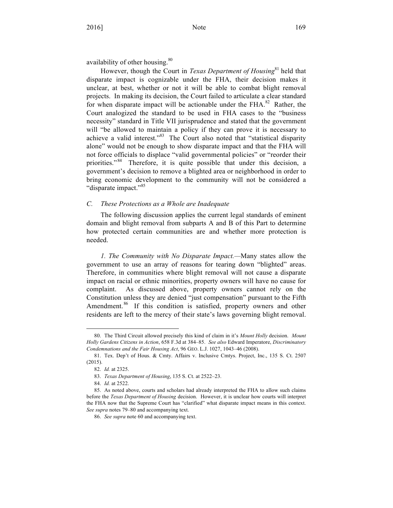availability of other housing.<sup>80</sup>

However, though the Court in *Texas Department of Housing*<sup>81</sup> held that disparate impact is cognizable under the FHA, their decision makes it unclear, at best, whether or not it will be able to combat blight removal projects. In making its decision, the Court failed to articulate a clear standard for when disparate impact will be actionable under the  $FHA$ <sup>82</sup> Rather, the Court analogized the standard to be used in FHA cases to the "business necessity" standard in Title VII jurisprudence and stated that the government will "be allowed to maintain a policy if they can prove it is necessary to achieve a valid interest."<sup>83</sup> The Court also noted that "statistical disparity alone" would not be enough to show disparate impact and that the FHA will not force officials to displace "valid governmental policies" or "reorder their priorities."<sup>84</sup> Therefore, it is quite possible that under this decision, a government's decision to remove a blighted area or neighborhood in order to bring economic development to the community will not be considered a "disparate impact."<sup>85</sup>

#### *C. These Protections as a Whole are Inadequate*

The following discussion applies the current legal standards of eminent domain and blight removal from subparts A and B of this Part to determine how protected certain communities are and whether more protection is needed.

*1. The Community with No Disparate Impact.—*Many states allow the government to use an array of reasons for tearing down "blighted" areas. Therefore, in communities where blight removal will not cause a disparate impact on racial or ethnic minorities, property owners will have no cause for complaint. As discussed above, property owners cannot rely on the Constitution unless they are denied "just compensation" pursuant to the Fifth Amendment.<sup>86</sup> If this condition is satisfied, property owners and other residents are left to the mercy of their state's laws governing blight removal.

<sup>80.</sup> The Third Circuit allowed precisely this kind of claim in it's *Mount Holly* decision. *Mount Holly Gardens Citizens in Action*, 658 F.3d at 384–85. *See also* Edward Imperatore, *Discriminatory Condemnations and the Fair Housing Act*, 96 GEO. L.J. 1027, 1043–46 (2008).

<sup>81.</sup> Tex. Dep't of Hous. & Cmty. Affairs v. Inclusive Cmtys. Project, Inc., 135 S. Ct. 2507 (2015).

<sup>82.</sup> *Id.* at 2325.

<sup>83.</sup> *Texas Department of Housing*, 135 S. Ct. at 2522–23.

<sup>84.</sup> *Id.* at 2522.

<sup>85.</sup> As noted above, courts and scholars had already interpreted the FHA to allow such claims before the *Texas Department of Housing* decision. However, it is unclear how courts will interpret the FHA now that the Supreme Court has "clarified" what disparate impact means in this context. *See supra* notes 79–80 and accompanying text.

<sup>86.</sup> *See supra* note 60 and accompanying text.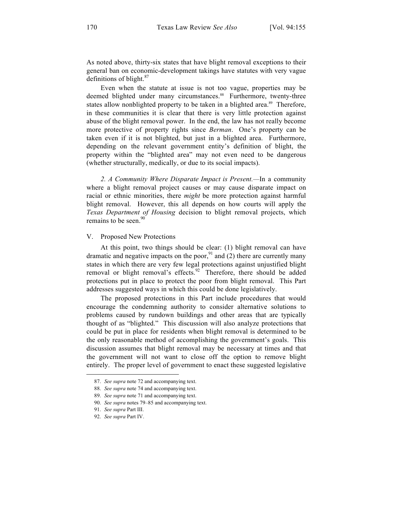As noted above, thirty-six states that have blight removal exceptions to their general ban on economic-development takings have statutes with very vague definitions of blight. $87$ 

Even when the statute at issue is not too vague, properties may be deemed blighted under many circumstances.<sup>88</sup> Furthermore, twenty-three states allow nonblighted property to be taken in a blighted area.<sup>89</sup> Therefore, in these communities it is clear that there is very little protection against abuse of the blight removal power. In the end, the law has not really become more protective of property rights since *Berman*. One's property can be taken even if it is not blighted, but just in a blighted area. Furthermore, depending on the relevant government entity's definition of blight, the property within the "blighted area" may not even need to be dangerous (whether structurally, medically, or due to its social impacts).

*2. A Community Where Disparate Impact is Present.—*In a community where a blight removal project causes or may cause disparate impact on racial or ethnic minorities, there *might* be more protection against harmful blight removal. However, this all depends on how courts will apply the *Texas Department of Housing* decision to blight removal projects, which remains to be seen. $90$ 

#### V. Proposed New Protections

At this point, two things should be clear: (1) blight removal can have dramatic and negative impacts on the poor,  $91$  and (2) there are currently many states in which there are very few legal protections against unjustified blight removal or blight removal's effects.<sup>92</sup> Therefore, there should be added protections put in place to protect the poor from blight removal. This Part addresses suggested ways in which this could be done legislatively.

The proposed protections in this Part include procedures that would encourage the condemning authority to consider alternative solutions to problems caused by rundown buildings and other areas that are typically thought of as "blighted." This discussion will also analyze protections that could be put in place for residents when blight removal is determined to be the only reasonable method of accomplishing the government's goals. This discussion assumes that blight removal may be necessary at times and that the government will not want to close off the option to remove blight entirely. The proper level of government to enact these suggested legislative

-

<sup>87.</sup> *See supra* note 72 and accompanying text.

<sup>88.</sup> *See supra* note 74 and accompanying text.

<sup>89.</sup> *See supra* note 71 and accompanying text.

<sup>90.</sup> *See supra* notes 79–85 and accompanying text.

<sup>91.</sup> *See supra* Part III.

<sup>92.</sup> *See supra* Part IV.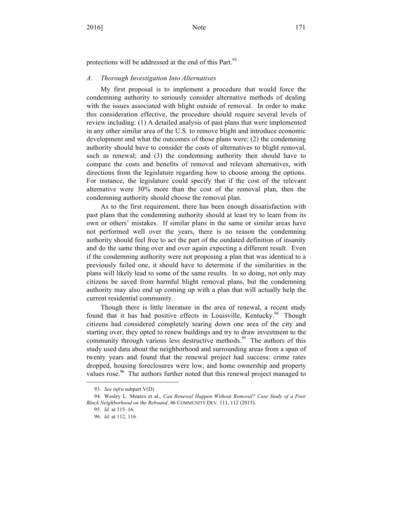protections will be addressed at the end of this Part.<sup>93</sup>

#### *A. Thorough Investigation Into Alternatives*

My first proposal is to implement a procedure that would force the condemning authority to seriously consider alternative methods of dealing with the issues associated with blight outside of removal. In order to make this consideration effective, the procedure should require several levels of review including: (1) A detailed analysis of past plans that were implemented in any other similar area of the U.S. to remove blight and introduce economic development and what the outcomes of those plans were; (2) the condemning authority should have to consider the costs of alternatives to blight removal, such as renewal; and (3) the condemning authority then should have to compare the costs and benefits of removal and relevant alternatives, with directions from the legislature regarding how to choose among the options. For instance, the legislature could specify that if the cost of the relevant alternative were 30% more than the cost of the removal plan, then the condemning authority should choose the removal plan.

As to the first requirement, there has been enough dissatisfaction with past plans that the condemning authority should at least try to learn from its own or others' mistakes. If similar plans in the same or similar areas have not performed well over the years, there is no reason the condemning authority should feel free to act the part of the outdated definition of insanity and do the same thing over and over again expecting a different result. Even if the condemning authority were not proposing a plan that was identical to a previously failed one, it should have to determine if the similarities in the plans will likely lead to some of the same results. In so doing, not only may citizens be saved from harmful blight removal plans, but the condemning authority may also end up coming up with a plan that will actually help the current residential community.

Though there is little literature in the area of renewal, a recent study found that it has had positive effects in Louisville, Kentucky.<sup>94</sup> Though citizens had considered completely tearing down one area of the city and starting over, they opted to renew buildings and try to draw investment to the community through various less destructive methods.<sup>95</sup> The authors of this study used data about the neighborhood and surrounding areas from a span of twenty years and found that the renewal project had success: crime rates dropped, housing foreclosures were low, and home ownership and property values rose.<sup>96</sup> The authors further noted that this renewal project managed to

-

<sup>93.</sup> *See infra* subpart V(D).

<sup>94.</sup> Wesley L. Meares et al., *Can Renewal Happen Without Removal? Case Study of a Poor Black Neighborhood on the Rebound*, 46 COMMUNITY DEV. 111, 112 (2015).

<sup>95.</sup> *Id.* at 115–16.

<sup>96.</sup> *Id.* at 112, 116.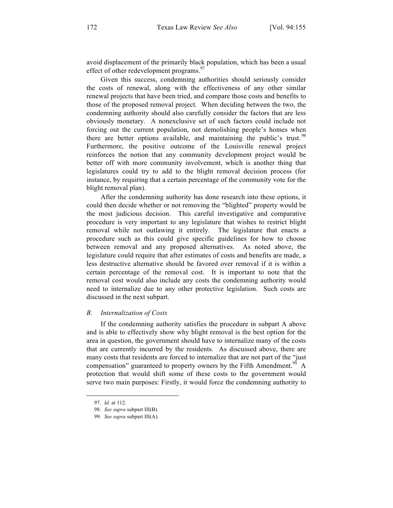avoid displacement of the primarily black population, which has been a usual effect of other redevelopment programs.<sup>97</sup>

Given this success, condemning authorities should seriously consider the costs of renewal, along with the effectiveness of any other similar renewal projects that have been tried, and compare those costs and benefits to those of the proposed removal project. When deciding between the two, the condemning authority should also carefully consider the factors that are less obviously monetary. A nonexclusive set of such factors could include not forcing out the current population, not demolishing people's homes when there are better options available, and maintaining the public's trust.<sup>98</sup> Furthermore, the positive outcome of the Louisville renewal project reinforces the notion that any community development project would be better off with more community involvement, which is another thing that legislatures could try to add to the blight removal decision process (for instance, by requiring that a certain percentage of the community vote for the blight removal plan).

After the condemning authority has done research into these options, it could then decide whether or not removing the "blighted" property would be the most judicious decision. This careful investigative and comparative procedure is very important to any legislature that wishes to restrict blight removal while not outlawing it entirely. The legislature that enacts a procedure such as this could give specific guidelines for how to choose between removal and any proposed alternatives. As noted above, the legislature could require that after estimates of costs and benefits are made, a less destructive alternative should be favored over removal if it is within a certain percentage of the removal cost. It is important to note that the removal cost would also include any costs the condemning authority would need to internalize due to any other protective legislation. Such costs are discussed in the next subpart.

#### *B. Internalization of Costs*

If the condemning authority satisfies the procedure in subpart A above and is able to effectively show why blight removal is the best option for the area in question, the government should have to internalize many of the costs that are currently incurred by the residents. As discussed above, there are many costs that residents are forced to internalize that are not part of the "just compensation" guaranteed to property owners by the Fifth Amendment.<sup>99</sup> A protection that would shift some of these costs to the government would serve two main purposes: Firstly, it would force the condemning authority to

<sup>97.</sup> *Id.* at 112.

<sup>98.</sup> *See supra* subpart III(B).

<sup>99.</sup> *See supra* subpart III(A).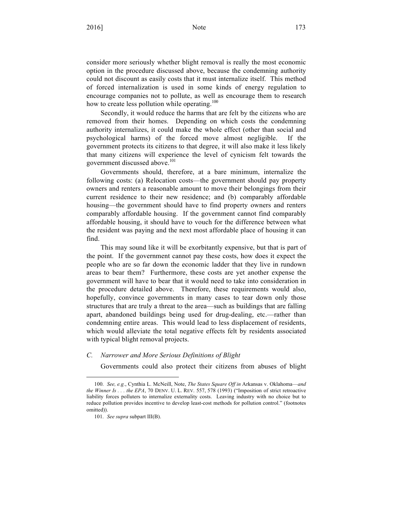consider more seriously whether blight removal is really the most economic option in the procedure discussed above, because the condemning authority could not discount as easily costs that it must internalize itself. This method of forced internalization is used in some kinds of energy regulation to encourage companies not to pollute, as well as encourage them to research how to create less pollution while operating.<sup>100</sup>

Secondly, it would reduce the harms that are felt by the citizens who are removed from their homes. Depending on which costs the condemning authority internalizes, it could make the whole effect (other than social and psychological harms) of the forced move almost negligible. If the government protects its citizens to that degree, it will also make it less likely that many citizens will experience the level of cynicism felt towards the government discussed above.<sup>101</sup>

Governments should, therefore, at a bare minimum, internalize the following costs: (a) Relocation costs—the government should pay property owners and renters a reasonable amount to move their belongings from their current residence to their new residence; and (b) comparably affordable housing—the government should have to find property owners and renters comparably affordable housing. If the government cannot find comparably affordable housing, it should have to vouch for the difference between what the resident was paying and the next most affordable place of housing it can find.

This may sound like it will be exorbitantly expensive, but that is part of the point. If the government cannot pay these costs, how does it expect the people who are so far down the economic ladder that they live in rundown areas to bear them? Furthermore, these costs are yet another expense the government will have to bear that it would need to take into consideration in the procedure detailed above. Therefore, these requirements would also, hopefully, convince governments in many cases to tear down only those structures that are truly a threat to the area—such as buildings that are falling apart, abandoned buildings being used for drug-dealing, etc.—rather than condemning entire areas. This would lead to less displacement of residents, which would alleviate the total negative effects felt by residents associated with typical blight removal projects.

#### *C. Narrower and More Serious Definitions of Blight*

Governments could also protect their citizens from abuses of blight

<sup>100.</sup> *See, e.g.*, Cynthia L. McNeill, Note, *The States Square Off in* Arkansas v. Oklahoma—*and the Winner Is . . . the EPA*, 70 DENV. U. L. REV. 557, 578 (1993) ("Imposition of strict retroactive liability forces polluters to internalize externality costs. Leaving industry with no choice but to reduce pollution provides incentive to develop least-cost methods for pollution control." (footnotes omitted)).

<sup>101.</sup> *See supra* subpart III(B).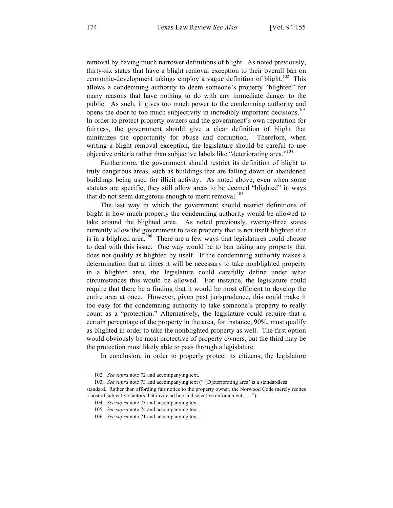removal by having much narrower definitions of blight. As noted previously, thirty-six states that have a blight removal exception to their overall ban on economic-development takings employ a vague definition of blight.<sup>102</sup> This allows a condemning authority to deem someone's property "blighted" for many reasons that have nothing to do with any immediate danger to the public. As such, it gives too much power to the condemning authority and opens the door to too much subjectivity in incredibly important decisions.<sup>103</sup> In order to protect property owners and the government's own reputation for fairness, the government should give a clear definition of blight that minimizes the opportunity for abuse and corruption. Therefore, when writing a blight removal exception, the legislature should be careful to use objective criteria rather than subjective labels like "deteriorating area."<sup>104</sup>

Furthermore, the government should restrict its definition of blight to truly dangerous areas, such as buildings that are falling down or abandoned buildings being used for illicit activity. As noted above, even when some statutes are specific, they still allow areas to be deemed "blighted" in ways that do not seem dangerous enough to merit removal.<sup>105</sup>

The last way in which the government should restrict definitions of blight is how much property the condemning authority would be allowed to take around the blighted area. As noted previously, twenty-three states currently allow the government to take property that is not itself blighted if it is in a blighted area.<sup>106</sup> There are a few ways that legislatures could choose to deal with this issue. One way would be to ban taking any property that does not qualify as blighted by itself. If the condemning authority makes a determination that at times it will be necessary to take nonblighted property in a blighted area, the legislature could carefully define under what circumstances this would be allowed. For instance, the legislature could require that there be a finding that it would be most efficient to develop the entire area at once. However, given past jurisprudence, this could make it too easy for the condemning authority to take someone's property to really count as a "protection." Alternatively, the legislature could require that a certain percentage of the property in the area, for instance, 90%, must qualify as blighted in order to take the nonblighted property as well. The first option would obviously be most protective of property owners, but the third may be the protection most likely able to pass through a legislature.

In conclusion, in order to properly protect its citizens, the legislature

<sup>102.</sup> *See supra* note 72 and accompanying text.

<sup>103.</sup> *See supra* note 73 and accompanying text ("'[D]eteriorating area' is a standardless standard. Rather than affording fair notice to the property owner, the Norwood Code merely recites a host of subjective factors that invite ad hoc and selective enforcement. . . .").

<sup>104.</sup> *See supra* note 73 and accompanying text.

<sup>105.</sup> *See supra* note 74 and accompanying text.

<sup>106.</sup> *See supra* note 71 and accompanying text.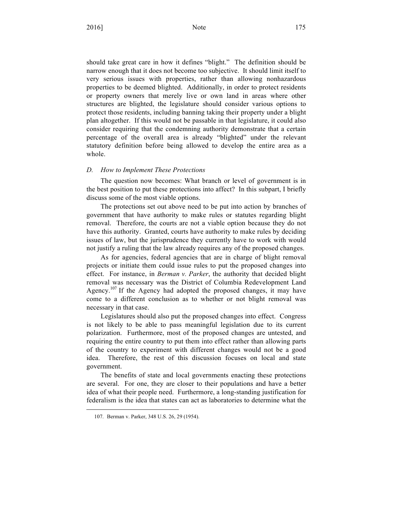should take great care in how it defines "blight." The definition should be narrow enough that it does not become too subjective. It should limit itself to very serious issues with properties, rather than allowing nonhazardous properties to be deemed blighted. Additionally, in order to protect residents or property owners that merely live or own land in areas where other structures are blighted, the legislature should consider various options to protect those residents, including banning taking their property under a blight plan altogether. If this would not be passable in that legislature, it could also consider requiring that the condemning authority demonstrate that a certain percentage of the overall area is already "blighted" under the relevant statutory definition before being allowed to develop the entire area as a whole.

#### *D. How to Implement These Protections*

The question now becomes: What branch or level of government is in the best position to put these protections into affect? In this subpart, I briefly discuss some of the most viable options.

The protections set out above need to be put into action by branches of government that have authority to make rules or statutes regarding blight removal. Therefore, the courts are not a viable option because they do not have this authority. Granted, courts have authority to make rules by deciding issues of law, but the jurisprudence they currently have to work with would not justify a ruling that the law already requires any of the proposed changes.

As for agencies, federal agencies that are in charge of blight removal projects or initiate them could issue rules to put the proposed changes into effect. For instance, in *Berman v. Parker*, the authority that decided blight removal was necessary was the District of Columbia Redevelopment Land Agency.<sup>107</sup> If the Agency had adopted the proposed changes, it may have come to a different conclusion as to whether or not blight removal was necessary in that case.

Legislatures should also put the proposed changes into effect. Congress is not likely to be able to pass meaningful legislation due to its current polarization. Furthermore, most of the proposed changes are untested, and requiring the entire country to put them into effect rather than allowing parts of the country to experiment with different changes would not be a good idea. Therefore, the rest of this discussion focuses on local and state government.

The benefits of state and local governments enacting these protections are several. For one, they are closer to their populations and have a better idea of what their people need. Furthermore, a long-standing justification for federalism is the idea that states can act as laboratories to determine what the

<sup>107.</sup> Berman v. Parker, 348 U.S. 26, 29 (1954).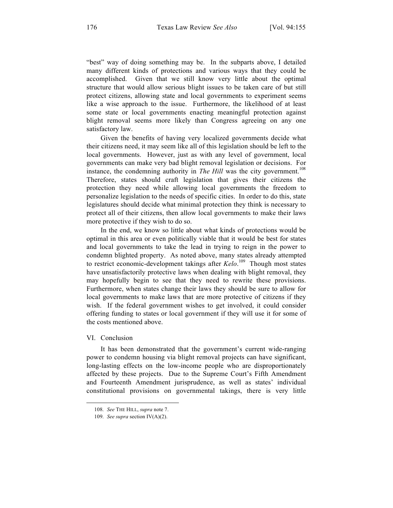"best" way of doing something may be. In the subparts above, I detailed many different kinds of protections and various ways that they could be accomplished. Given that we still know very little about the optimal structure that would allow serious blight issues to be taken care of but still protect citizens, allowing state and local governments to experiment seems like a wise approach to the issue. Furthermore, the likelihood of at least some state or local governments enacting meaningful protection against blight removal seems more likely than Congress agreeing on any one satisfactory law.

Given the benefits of having very localized governments decide what their citizens need, it may seem like all of this legislation should be left to the local governments. However, just as with any level of government, local governments can make very bad blight removal legislation or decisions. For instance, the condemning authority in *The Hill* was the city government.<sup>108</sup> Therefore, states should craft legislation that gives their citizens the protection they need while allowing local governments the freedom to personalize legislation to the needs of specific cities. In order to do this, state legislatures should decide what minimal protection they think is necessary to protect all of their citizens, then allow local governments to make their laws more protective if they wish to do so.

In the end, we know so little about what kinds of protections would be optimal in this area or even politically viable that it would be best for states and local governments to take the lead in trying to reign in the power to condemn blighted property. As noted above, many states already attempted to restrict economic-development takings after *Kelo*. <sup>109</sup> Though most states have unsatisfactorily protective laws when dealing with blight removal, they may hopefully begin to see that they need to rewrite these provisions. Furthermore, when states change their laws they should be sure to allow for local governments to make laws that are more protective of citizens if they wish. If the federal government wishes to get involved, it could consider offering funding to states or local government if they will use it for some of the costs mentioned above.

#### VI. Conclusion

1

It has been demonstrated that the government's current wide-ranging power to condemn housing via blight removal projects can have significant, long-lasting effects on the low-income people who are disproportionately affected by these projects. Due to the Supreme Court's Fifth Amendment and Fourteenth Amendment jurisprudence, as well as states' individual constitutional provisions on governmental takings, there is very little

<sup>108.</sup> *See* THE HILL, *supra* note 7.

<sup>109.</sup> *See supra* section IV(A)(2).